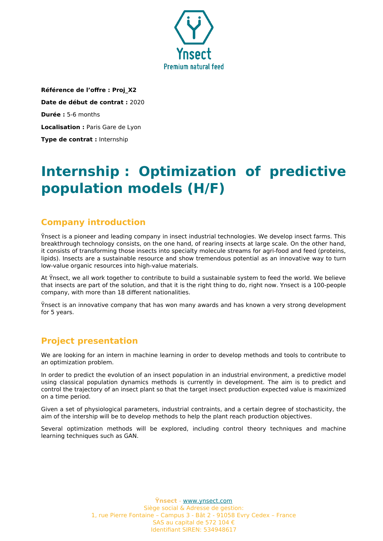

**Référence de l'offre : Proj\_X2 Date de début de contrat :** 2020 **Durée :** 5-6 months **Localisation :** Paris Gare de Lyon **Type de contrat :** Internship

# **Internship : Optimization of predictive population models (H/F)**

## **Company introduction**

Ÿnsect is a pioneer and leading company in insect industrial technologies. We develop insect farms. This breakthrough technology consists, on the one hand, of rearing insects at large scale. On the other hand, it consists of transforming those insects into specialty molecule streams for agri-food and feed (proteins, lipids). Insects are a sustainable resource and show tremendous potential as an innovative way to turn low-value organic resources into high-value materials.

At Ÿnsect, we all work together to contribute to build a sustainable system to feed the world. We believe that insects are part of the solution, and that it is the right thing to do, right now. Ynsect is a 100-people company, with more than 18 different nationalities.

Ÿnsect is an innovative company that has won many awards and has known a very strong development for 5 years.

## **Project presentation**

We are looking for an intern in machine learning in order to develop methods and tools to contribute to an optimization problem.

In order to predict the evolution of an insect population in an industrial environment, a predictive model using classical population dynamics methods is currently in development. The aim is to predict and control the trajectory of an insect plant so that the target insect production expected value is maximized on a time period.

Given a set of physiological parameters, industrial contraints, and a certain degree of stochasticity, the aim of the intership will be to develop methods to help the plant reach production objectives.

Several optimization methods will be explored, including control theory techniques and machine learning techniques such as GAN.

> **Ÿnsect** - [www.ynsect.com](http://www.ynsect.com/) Siège social & Adresse de gestion: 1, rue Pierre Fontaine – Campus 3 - Bât 2 - 91058 Evry Cedex – France SAS au capital de 572 104 € Identifiant SIREN: 534948617